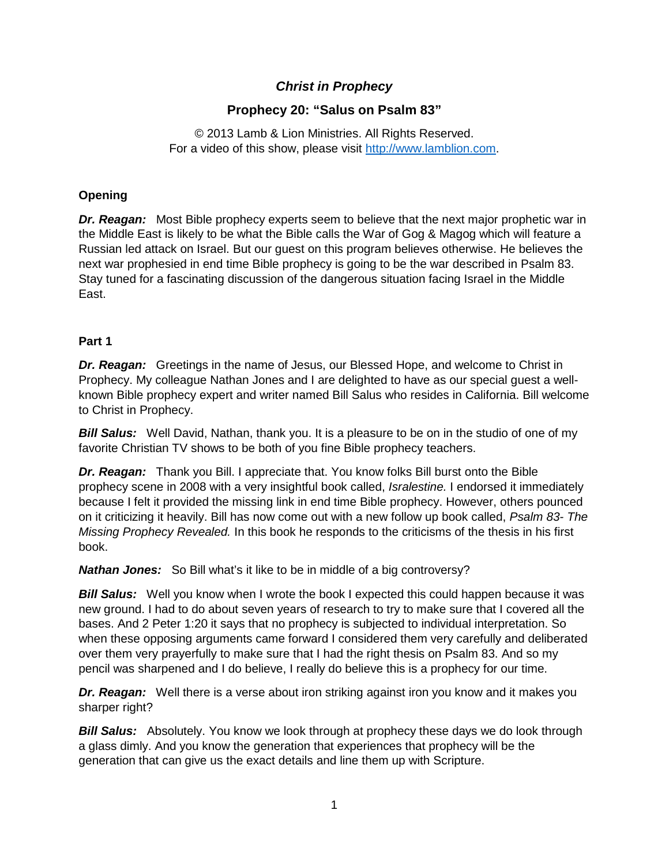# *Christ in Prophecy*

# **Prophecy 20: "Salus on Psalm 83"**

© 2013 Lamb & Lion Ministries. All Rights Reserved. For a video of this show, please visit [http://www.lamblion.com.](http://www.lamblion.com/)

## **Opening**

*Dr. Reagan:* Most Bible prophecy experts seem to believe that the next major prophetic war in the Middle East is likely to be what the Bible calls the War of Gog & Magog which will feature a Russian led attack on Israel. But our guest on this program believes otherwise. He believes the next war prophesied in end time Bible prophecy is going to be the war described in Psalm 83. Stay tuned for a fascinating discussion of the dangerous situation facing Israel in the Middle East.

## **Part 1**

*Dr. Reagan:* Greetings in the name of Jesus, our Blessed Hope, and welcome to Christ in Prophecy. My colleague Nathan Jones and I are delighted to have as our special guest a wellknown Bible prophecy expert and writer named Bill Salus who resides in California. Bill welcome to Christ in Prophecy.

*Bill Salus:* Well David, Nathan, thank you. It is a pleasure to be on in the studio of one of my favorite Christian TV shows to be both of you fine Bible prophecy teachers.

*Dr. Reagan:* Thank you Bill. I appreciate that. You know folks Bill burst onto the Bible prophecy scene in 2008 with a very insightful book called, *Isralestine.* I endorsed it immediately because I felt it provided the missing link in end time Bible prophecy. However, others pounced on it criticizing it heavily. Bill has now come out with a new follow up book called, *Psalm 83- The Missing Prophecy Revealed.* In this book he responds to the criticisms of the thesis in his first book.

*Nathan Jones:* So Bill what's it like to be in middle of a big controversy?

**Bill Salus:** Well you know when I wrote the book I expected this could happen because it was new ground. I had to do about seven years of research to try to make sure that I covered all the bases. And 2 Peter 1:20 it says that no prophecy is subjected to individual interpretation. So when these opposing arguments came forward I considered them very carefully and deliberated over them very prayerfully to make sure that I had the right thesis on Psalm 83. And so my pencil was sharpened and I do believe, I really do believe this is a prophecy for our time.

*Dr. Reagan:* Well there is a verse about iron striking against iron you know and it makes you sharper right?

*Bill Salus:* Absolutely. You know we look through at prophecy these days we do look through a glass dimly. And you know the generation that experiences that prophecy will be the generation that can give us the exact details and line them up with Scripture.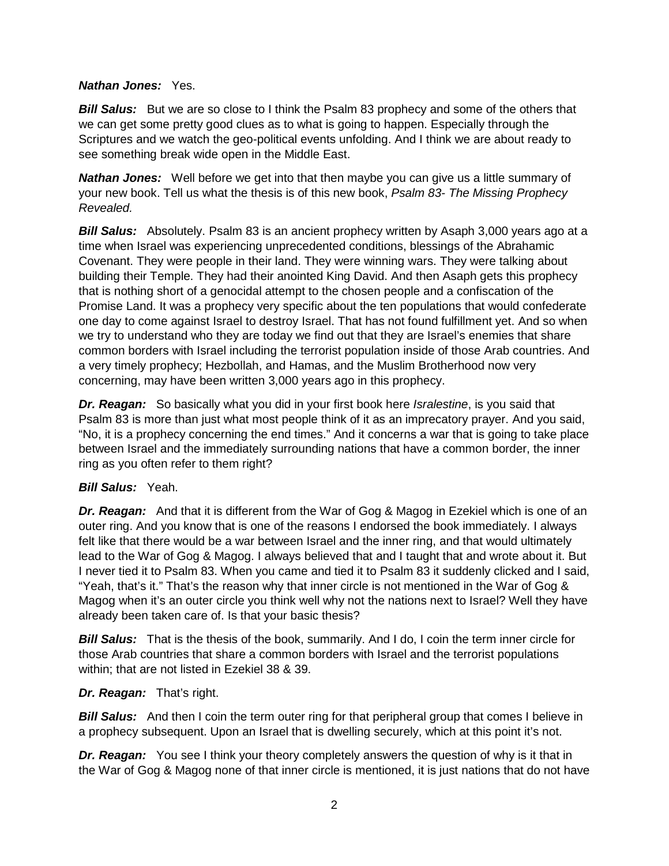#### *Nathan Jones:* Yes.

**Bill Salus:** But we are so close to I think the Psalm 83 prophecy and some of the others that we can get some pretty good clues as to what is going to happen. Especially through the Scriptures and we watch the geo-political events unfolding. And I think we are about ready to see something break wide open in the Middle East.

*Nathan Jones:* Well before we get into that then maybe you can give us a little summary of your new book. Tell us what the thesis is of this new book, *Psalm 83- The Missing Prophecy Revealed.*

**Bill Salus:** Absolutely. Psalm 83 is an ancient prophecy written by Asaph 3,000 years ago at a time when Israel was experiencing unprecedented conditions, blessings of the Abrahamic Covenant. They were people in their land. They were winning wars. They were talking about building their Temple. They had their anointed King David. And then Asaph gets this prophecy that is nothing short of a genocidal attempt to the chosen people and a confiscation of the Promise Land. It was a prophecy very specific about the ten populations that would confederate one day to come against Israel to destroy Israel. That has not found fulfillment yet. And so when we try to understand who they are today we find out that they are Israel's enemies that share common borders with Israel including the terrorist population inside of those Arab countries. And a very timely prophecy; Hezbollah, and Hamas, and the Muslim Brotherhood now very concerning, may have been written 3,000 years ago in this prophecy.

*Dr. Reagan:* So basically what you did in your first book here *Isralestine*, is you said that Psalm 83 is more than just what most people think of it as an imprecatory prayer. And you said, "No, it is a prophecy concerning the end times." And it concerns a war that is going to take place between Israel and the immediately surrounding nations that have a common border, the inner ring as you often refer to them right?

## *Bill Salus:* Yeah.

*Dr. Reagan:* And that it is different from the War of Gog & Magog in Ezekiel which is one of an outer ring. And you know that is one of the reasons I endorsed the book immediately. I always felt like that there would be a war between Israel and the inner ring, and that would ultimately lead to the War of Gog & Magog. I always believed that and I taught that and wrote about it. But I never tied it to Psalm 83. When you came and tied it to Psalm 83 it suddenly clicked and I said, "Yeah, that's it." That's the reason why that inner circle is not mentioned in the War of Gog  $\&$ Magog when it's an outer circle you think well why not the nations next to Israel? Well they have already been taken care of. Is that your basic thesis?

**Bill Salus:** That is the thesis of the book, summarily. And I do, I coin the term inner circle for those Arab countries that share a common borders with Israel and the terrorist populations within; that are not listed in Ezekiel 38 & 39.

## *Dr. Reagan:* That's right.

**Bill Salus:** And then I coin the term outer ring for that peripheral group that comes I believe in a prophecy subsequent. Upon an Israel that is dwelling securely, which at this point it's not.

*Dr. Reagan:* You see I think your theory completely answers the question of why is it that in the War of Gog & Magog none of that inner circle is mentioned, it is just nations that do not have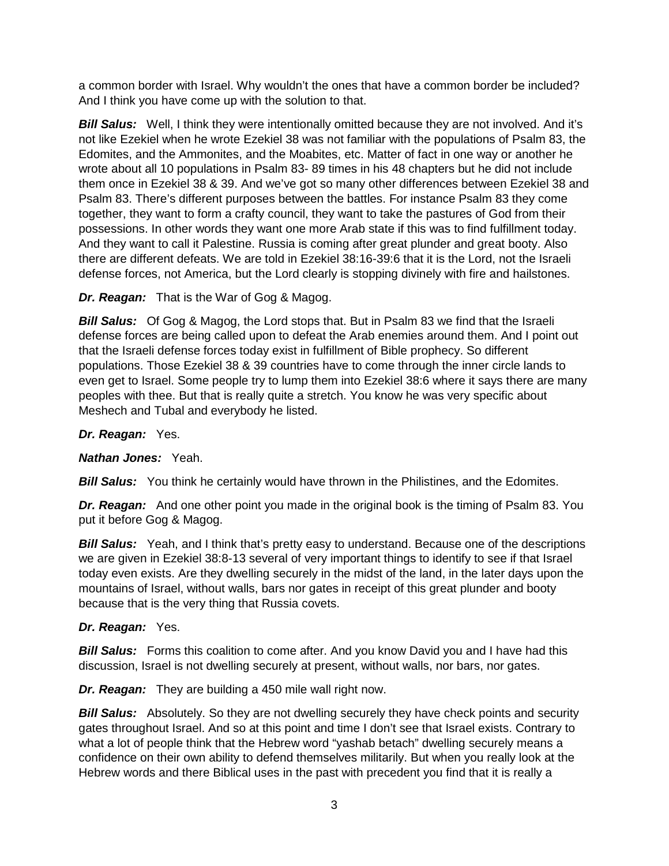a common border with Israel. Why wouldn't the ones that have a common border be included? And I think you have come up with the solution to that.

*Bill Salus:* Well, I think they were intentionally omitted because they are not involved. And it's not like Ezekiel when he wrote Ezekiel 38 was not familiar with the populations of Psalm 83, the Edomites, and the Ammonites, and the Moabites, etc. Matter of fact in one way or another he wrote about all 10 populations in Psalm 83- 89 times in his 48 chapters but he did not include them once in Ezekiel 38 & 39. And we've got so many other differences between Ezekiel 38 and Psalm 83. There's different purposes between the battles. For instance Psalm 83 they come together, they want to form a crafty council, they want to take the pastures of God from their possessions. In other words they want one more Arab state if this was to find fulfillment today. And they want to call it Palestine. Russia is coming after great plunder and great booty. Also there are different defeats. We are told in Ezekiel 38:16-39:6 that it is the Lord, not the Israeli defense forces, not America, but the Lord clearly is stopping divinely with fire and hailstones.

*Dr. Reagan:* That is the War of Gog & Magog.

*Bill Salus:* Of Gog & Magog, the Lord stops that. But in Psalm 83 we find that the Israeli defense forces are being called upon to defeat the Arab enemies around them. And I point out that the Israeli defense forces today exist in fulfillment of Bible prophecy. So different populations. Those Ezekiel 38 & 39 countries have to come through the inner circle lands to even get to Israel. Some people try to lump them into Ezekiel 38:6 where it says there are many peoples with thee. But that is really quite a stretch. You know he was very specific about Meshech and Tubal and everybody he listed.

*Dr. Reagan:* Yes.

*Nathan Jones:* Yeah.

**Bill Salus:** You think he certainly would have thrown in the Philistines, and the Edomites.

**Dr. Reagan:** And one other point you made in the original book is the timing of Psalm 83. You put it before Gog & Magog.

**Bill Salus:** Yeah, and I think that's pretty easy to understand. Because one of the descriptions we are given in Ezekiel 38:8-13 several of very important things to identify to see if that Israel today even exists. Are they dwelling securely in the midst of the land, in the later days upon the mountains of Israel, without walls, bars nor gates in receipt of this great plunder and booty because that is the very thing that Russia covets.

## *Dr. Reagan:* Yes.

*Bill Salus:* Forms this coalition to come after. And you know David you and I have had this discussion, Israel is not dwelling securely at present, without walls, nor bars, nor gates.

*Dr. Reagan:* They are building a 450 mile wall right now.

*Bill Salus:* Absolutely. So they are not dwelling securely they have check points and security gates throughout Israel. And so at this point and time I don't see that Israel exists. Contrary to what a lot of people think that the Hebrew word "yashab betach" dwelling securely means a confidence on their own ability to defend themselves militarily. But when you really look at the Hebrew words and there Biblical uses in the past with precedent you find that it is really a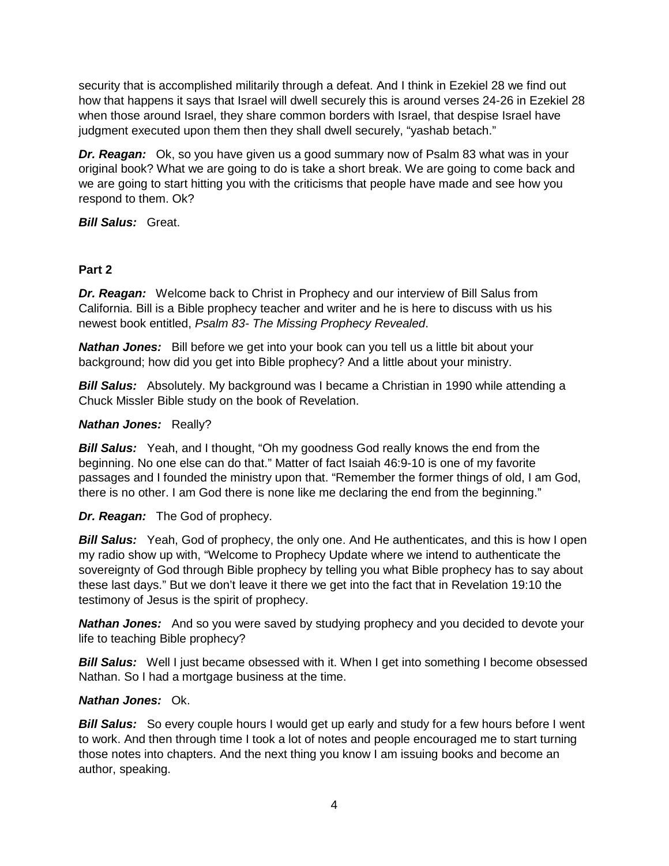security that is accomplished militarily through a defeat. And I think in Ezekiel 28 we find out how that happens it says that Israel will dwell securely this is around verses 24-26 in Ezekiel 28 when those around Israel, they share common borders with Israel, that despise Israel have judgment executed upon them then they shall dwell securely, "yashab betach."

*Dr. Reagan:* Ok, so you have given us a good summary now of Psalm 83 what was in your original book? What we are going to do is take a short break. We are going to come back and we are going to start hitting you with the criticisms that people have made and see how you respond to them. Ok?

*Bill Salus:* Great.

## **Part 2**

*Dr. Reagan:* Welcome back to Christ in Prophecy and our interview of Bill Salus from California. Bill is a Bible prophecy teacher and writer and he is here to discuss with us his newest book entitled, *Psalm 83- The Missing Prophecy Revealed*.

*Nathan Jones:* Bill before we get into your book can you tell us a little bit about your background; how did you get into Bible prophecy? And a little about your ministry.

*Bill Salus:* Absolutely. My background was I became a Christian in 1990 while attending a Chuck Missler Bible study on the book of Revelation.

## *Nathan Jones:* Really?

*Bill Salus:* Yeah, and I thought, "Oh my goodness God really knows the end from the beginning. No one else can do that." Matter of fact Isaiah 46:9-10 is one of my favorite passages and I founded the ministry upon that. "Remember the former things of old, I am God, there is no other. I am God there is none like me declaring the end from the beginning."

*Dr. Reagan:* The God of prophecy.

**Bill Salus:** Yeah, God of prophecy, the only one. And He authenticates, and this is how I open my radio show up with, "Welcome to Prophecy Update where we intend to authenticate the sovereignty of God through Bible prophecy by telling you what Bible prophecy has to say about these last days." But we don't leave it there we get into the fact that in Revelation 19:10 the testimony of Jesus is the spirit of prophecy.

*Nathan Jones:* And so you were saved by studying prophecy and you decided to devote your life to teaching Bible prophecy?

**Bill Salus:** Well I just became obsessed with it. When I get into something I become obsessed Nathan. So I had a mortgage business at the time.

## *Nathan Jones:* Ok.

**Bill Salus:** So every couple hours I would get up early and study for a few hours before I went to work. And then through time I took a lot of notes and people encouraged me to start turning those notes into chapters. And the next thing you know I am issuing books and become an author, speaking.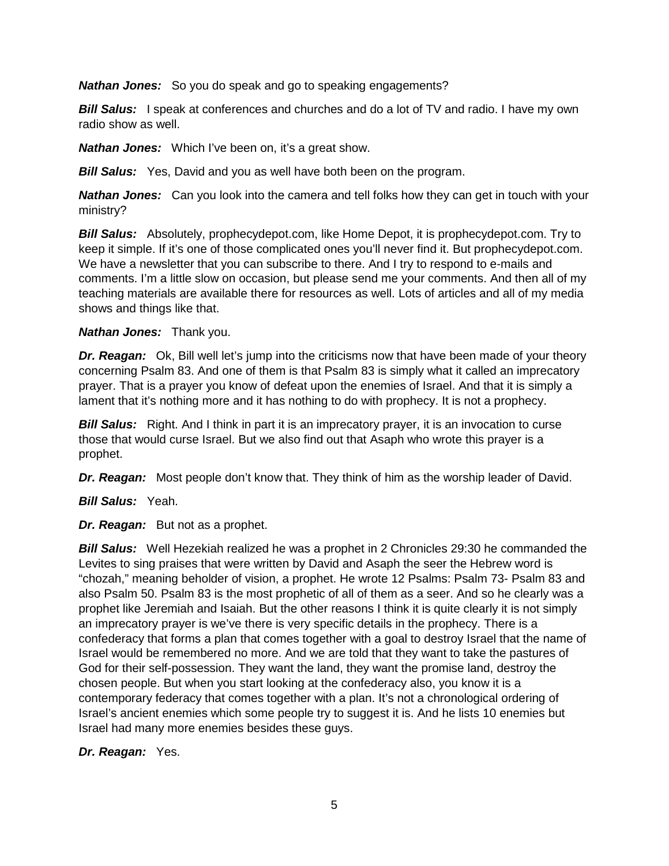*Nathan Jones:* So you do speak and go to speaking engagements?

**Bill Salus:** I speak at conferences and churches and do a lot of TV and radio. I have my own radio show as well.

*Nathan Jones:* Which I've been on, it's a great show.

*Bill Salus:* Yes, David and you as well have both been on the program.

*Nathan Jones:* Can you look into the camera and tell folks how they can get in touch with your ministry?

*Bill Salus:* Absolutely, prophecydepot.com, like Home Depot, it is prophecydepot.com. Try to keep it simple. If it's one of those complicated ones you'll never find it. But prophecydepot.com. We have a newsletter that you can subscribe to there. And I try to respond to e-mails and comments. I'm a little slow on occasion, but please send me your comments. And then all of my teaching materials are available there for resources as well. Lots of articles and all of my media shows and things like that.

## *Nathan Jones:* Thank you.

*Dr. Reagan:* Ok, Bill well let's jump into the criticisms now that have been made of your theory concerning Psalm 83. And one of them is that Psalm 83 is simply what it called an imprecatory prayer. That is a prayer you know of defeat upon the enemies of Israel. And that it is simply a lament that it's nothing more and it has nothing to do with prophecy. It is not a prophecy.

**Bill Salus:** Right. And I think in part it is an imprecatory prayer, it is an invocation to curse those that would curse Israel. But we also find out that Asaph who wrote this prayer is a prophet.

*Dr. Reagan:* Most people don't know that. They think of him as the worship leader of David.

*Bill Salus:* Yeah.

*Dr. Reagan:* But not as a prophet.

*Bill Salus:* Well Hezekiah realized he was a prophet in 2 Chronicles 29:30 he commanded the Levites to sing praises that were written by David and Asaph the seer the Hebrew word is "chozah," meaning beholder of vision, a prophet. He wrote 12 Psalms: Psalm 73- Psalm 83 and also Psalm 50. Psalm 83 is the most prophetic of all of them as a seer. And so he clearly was a prophet like Jeremiah and Isaiah. But the other reasons I think it is quite clearly it is not simply an imprecatory prayer is we've there is very specific details in the prophecy. There is a confederacy that forms a plan that comes together with a goal to destroy Israel that the name of Israel would be remembered no more. And we are told that they want to take the pastures of God for their self-possession. They want the land, they want the promise land, destroy the chosen people. But when you start looking at the confederacy also, you know it is a contemporary federacy that comes together with a plan. It's not a chronological ordering of Israel's ancient enemies which some people try to suggest it is. And he lists 10 enemies but Israel had many more enemies besides these guys.

## *Dr. Reagan:* Yes.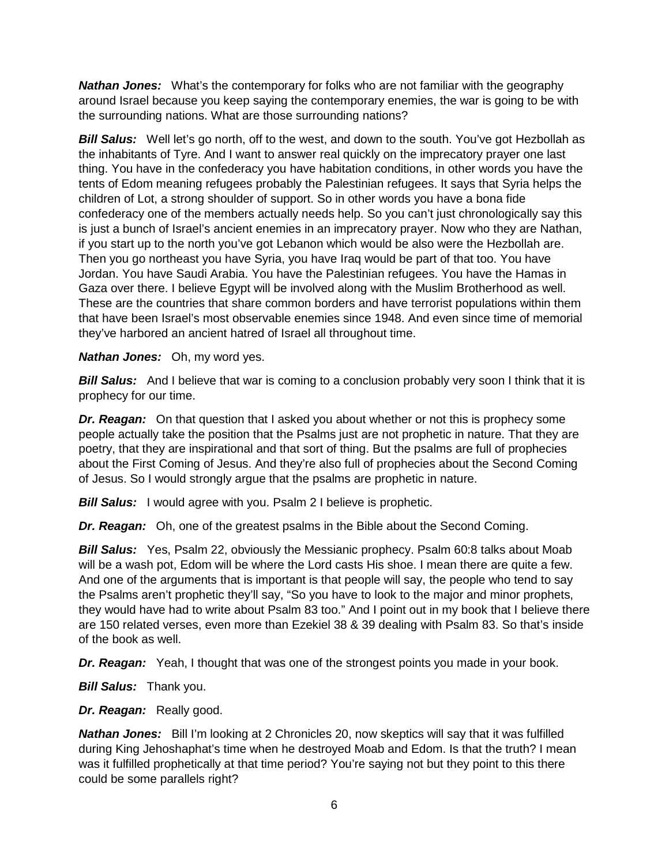*Nathan Jones:* What's the contemporary for folks who are not familiar with the geography around Israel because you keep saying the contemporary enemies, the war is going to be with the surrounding nations. What are those surrounding nations?

**Bill Salus:** Well let's go north, off to the west, and down to the south. You've got Hezbollah as the inhabitants of Tyre. And I want to answer real quickly on the imprecatory prayer one last thing. You have in the confederacy you have habitation conditions, in other words you have the tents of Edom meaning refugees probably the Palestinian refugees. It says that Syria helps the children of Lot, a strong shoulder of support. So in other words you have a bona fide confederacy one of the members actually needs help. So you can't just chronologically say this is just a bunch of Israel's ancient enemies in an imprecatory prayer. Now who they are Nathan, if you start up to the north you've got Lebanon which would be also were the Hezbollah are. Then you go northeast you have Syria, you have Iraq would be part of that too. You have Jordan. You have Saudi Arabia. You have the Palestinian refugees. You have the Hamas in Gaza over there. I believe Egypt will be involved along with the Muslim Brotherhood as well. These are the countries that share common borders and have terrorist populations within them that have been Israel's most observable enemies since 1948. And even since time of memorial they've harbored an ancient hatred of Israel all throughout time.

#### *Nathan Jones:* Oh, my word yes.

**Bill Salus:** And I believe that war is coming to a conclusion probably very soon I think that it is prophecy for our time.

*Dr. Reagan:* On that question that I asked you about whether or not this is prophecy some people actually take the position that the Psalms just are not prophetic in nature. That they are poetry, that they are inspirational and that sort of thing. But the psalms are full of prophecies about the First Coming of Jesus. And they're also full of prophecies about the Second Coming of Jesus. So I would strongly argue that the psalms are prophetic in nature.

*Bill Salus:* I would agree with you. Psalm 2 I believe is prophetic.

*Dr. Reagan:* Oh, one of the greatest psalms in the Bible about the Second Coming.

*Bill Salus:* Yes, Psalm 22, obviously the Messianic prophecy. Psalm 60:8 talks about Moab will be a wash pot, Edom will be where the Lord casts His shoe. I mean there are quite a few. And one of the arguments that is important is that people will say, the people who tend to say the Psalms aren't prophetic they'll say, "So you have to look to the major and minor prophets, they would have had to write about Psalm 83 too." And I point out in my book that I believe there are 150 related verses, even more than Ezekiel 38 & 39 dealing with Psalm 83. So that's inside of the book as well.

*Dr. Reagan:* Yeah, I thought that was one of the strongest points you made in your book.

*Bill Salus:* Thank you.

*Dr. Reagan:* Really good.

*Nathan Jones:* Bill I'm looking at 2 Chronicles 20, now skeptics will say that it was fulfilled during King Jehoshaphat's time when he destroyed Moab and Edom. Is that the truth? I mean was it fulfilled prophetically at that time period? You're saying not but they point to this there could be some parallels right?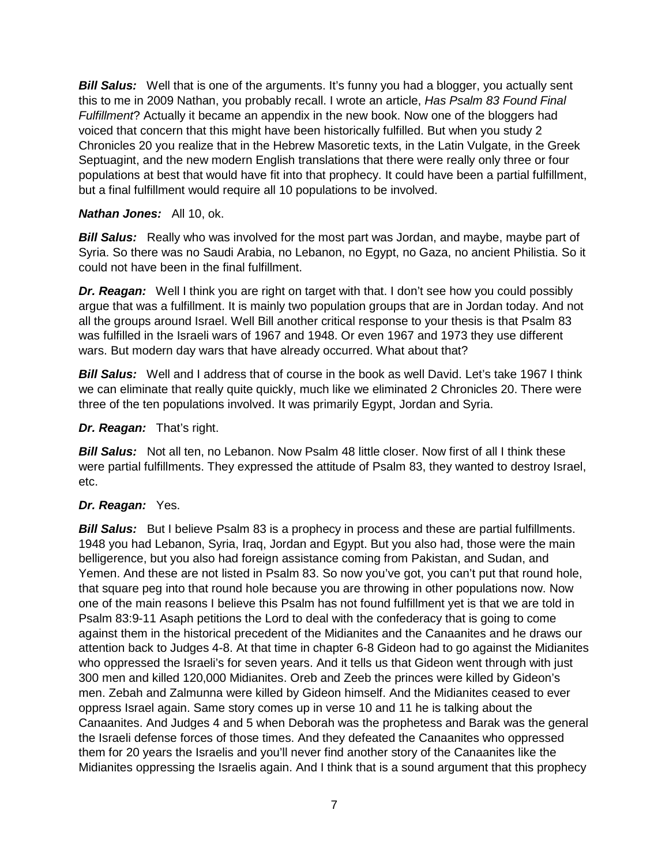**Bill Salus:** Well that is one of the arguments. It's funny you had a blogger, you actually sent this to me in 2009 Nathan, you probably recall. I wrote an article, *Has Psalm 83 Found Final Fulfillment*? Actually it became an appendix in the new book. Now one of the bloggers had voiced that concern that this might have been historically fulfilled. But when you study 2 Chronicles 20 you realize that in the Hebrew Masoretic texts, in the Latin Vulgate, in the Greek Septuagint, and the new modern English translations that there were really only three or four populations at best that would have fit into that prophecy. It could have been a partial fulfillment, but a final fulfillment would require all 10 populations to be involved.

#### *Nathan Jones:* All 10, ok.

**Bill Salus:** Really who was involved for the most part was Jordan, and maybe, maybe part of Syria. So there was no Saudi Arabia, no Lebanon, no Egypt, no Gaza, no ancient Philistia. So it could not have been in the final fulfillment.

*Dr. Reagan:* Well I think you are right on target with that. I don't see how you could possibly argue that was a fulfillment. It is mainly two population groups that are in Jordan today. And not all the groups around Israel. Well Bill another critical response to your thesis is that Psalm 83 was fulfilled in the Israeli wars of 1967 and 1948. Or even 1967 and 1973 they use different wars. But modern day wars that have already occurred. What about that?

*Bill Salus:* Well and I address that of course in the book as well David. Let's take 1967 I think we can eliminate that really quite quickly, much like we eliminated 2 Chronicles 20. There were three of the ten populations involved. It was primarily Egypt, Jordan and Syria.

#### *Dr. Reagan:* That's right.

**Bill Salus:** Not all ten, no Lebanon. Now Psalm 48 little closer. Now first of all I think these were partial fulfillments. They expressed the attitude of Psalm 83, they wanted to destroy Israel, etc.

## *Dr. Reagan:* Yes.

**Bill Salus:** But I believe Psalm 83 is a prophecy in process and these are partial fulfillments. 1948 you had Lebanon, Syria, Iraq, Jordan and Egypt. But you also had, those were the main belligerence, but you also had foreign assistance coming from Pakistan, and Sudan, and Yemen. And these are not listed in Psalm 83. So now you've got, you can't put that round hole, that square peg into that round hole because you are throwing in other populations now. Now one of the main reasons I believe this Psalm has not found fulfillment yet is that we are told in Psalm 83:9-11 Asaph petitions the Lord to deal with the confederacy that is going to come against them in the historical precedent of the Midianites and the Canaanites and he draws our attention back to Judges 4-8. At that time in chapter 6-8 Gideon had to go against the Midianites who oppressed the Israeli's for seven years. And it tells us that Gideon went through with just 300 men and killed 120,000 Midianites. Oreb and Zeeb the princes were killed by Gideon's men. Zebah and Zalmunna were killed by Gideon himself. And the Midianites ceased to ever oppress Israel again. Same story comes up in verse 10 and 11 he is talking about the Canaanites. And Judges 4 and 5 when Deborah was the prophetess and Barak was the general the Israeli defense forces of those times. And they defeated the Canaanites who oppressed them for 20 years the Israelis and you'll never find another story of the Canaanites like the Midianites oppressing the Israelis again. And I think that is a sound argument that this prophecy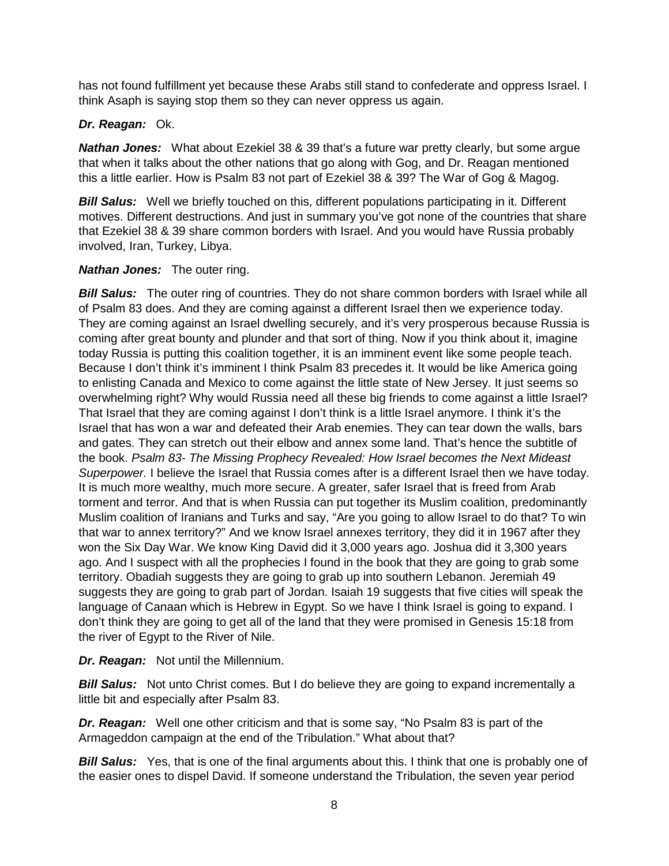has not found fulfillment yet because these Arabs still stand to confederate and oppress Israel. I think Asaph is saying stop them so they can never oppress us again.

## *Dr. Reagan:* Ok.

*Nathan Jones:* What about Ezekiel 38 & 39 that's a future war pretty clearly, but some argue that when it talks about the other nations that go along with Gog, and Dr. Reagan mentioned this a little earlier. How is Psalm 83 not part of Ezekiel 38 & 39? The War of Gog & Magog.

*Bill Salus:* Well we briefly touched on this, different populations participating in it. Different motives. Different destructions. And just in summary you've got none of the countries that share that Ezekiel 38 & 39 share common borders with Israel. And you would have Russia probably involved, Iran, Turkey, Libya.

## *Nathan Jones:* The outer ring.

*Bill Salus:* The outer ring of countries. They do not share common borders with Israel while all of Psalm 83 does. And they are coming against a different Israel then we experience today. They are coming against an Israel dwelling securely, and it's very prosperous because Russia is coming after great bounty and plunder and that sort of thing. Now if you think about it, imagine today Russia is putting this coalition together, it is an imminent event like some people teach. Because I don't think it's imminent I think Psalm 83 precedes it. It would be like America going to enlisting Canada and Mexico to come against the little state of New Jersey. It just seems so overwhelming right? Why would Russia need all these big friends to come against a little Israel? That Israel that they are coming against I don't think is a little Israel anymore. I think it's the Israel that has won a war and defeated their Arab enemies. They can tear down the walls, bars and gates. They can stretch out their elbow and annex some land. That's hence the subtitle of the book. *Psalm 83- The Missing Prophecy Revealed: How Israel becomes the Next Mideast Superpower.* I believe the Israel that Russia comes after is a different Israel then we have today. It is much more wealthy, much more secure. A greater, safer Israel that is freed from Arab torment and terror. And that is when Russia can put together its Muslim coalition, predominantly Muslim coalition of Iranians and Turks and say, "Are you going to allow Israel to do that? To win that war to annex territory?" And we know Israel annexes territory, they did it in 1967 after they won the Six Day War. We know King David did it 3,000 years ago. Joshua did it 3,300 years ago. And I suspect with all the prophecies I found in the book that they are going to grab some territory. Obadiah suggests they are going to grab up into southern Lebanon. Jeremiah 49 suggests they are going to grab part of Jordan. Isaiah 19 suggests that five cities will speak the language of Canaan which is Hebrew in Egypt. So we have I think Israel is going to expand. I don't think they are going to get all of the land that they were promised in Genesis 15:18 from the river of Egypt to the River of Nile.

*Dr. Reagan:* Not until the Millennium.

**Bill Salus:** Not unto Christ comes. But I do believe they are going to expand incrementally a little bit and especially after Psalm 83.

*Dr. Reagan:* Well one other criticism and that is some say, "No Psalm 83 is part of the Armageddon campaign at the end of the Tribulation." What about that?

*Bill Salus:* Yes, that is one of the final arguments about this. I think that one is probably one of the easier ones to dispel David. If someone understand the Tribulation, the seven year period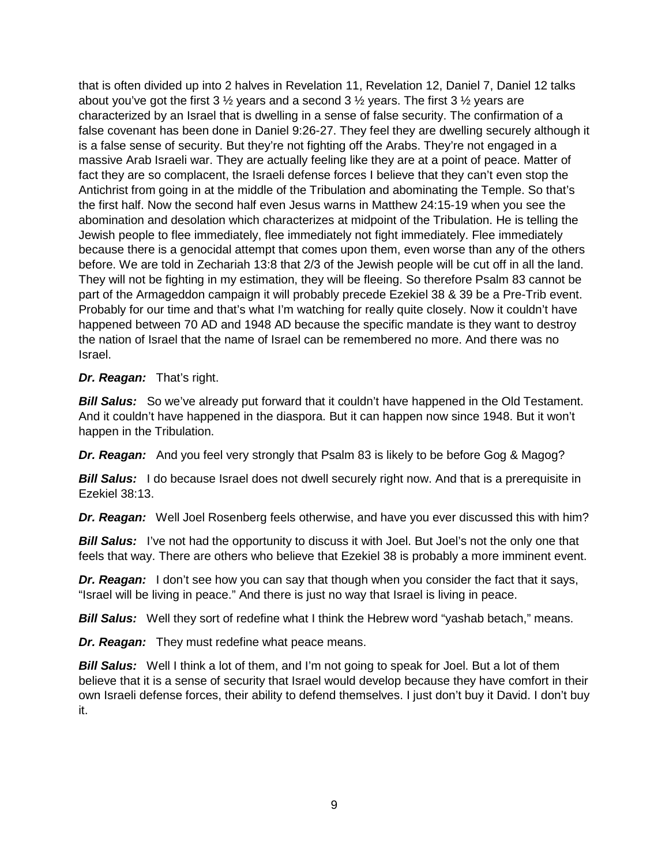that is often divided up into 2 halves in Revelation 11, Revelation 12, Daniel 7, Daniel 12 talks about you've got the first 3  $\frac{1}{2}$  years and a second 3  $\frac{1}{2}$  years. The first 3  $\frac{1}{2}$  years are characterized by an Israel that is dwelling in a sense of false security. The confirmation of a false covenant has been done in Daniel 9:26-27. They feel they are dwelling securely although it is a false sense of security. But they're not fighting off the Arabs. They're not engaged in a massive Arab Israeli war. They are actually feeling like they are at a point of peace. Matter of fact they are so complacent, the Israeli defense forces I believe that they can't even stop the Antichrist from going in at the middle of the Tribulation and abominating the Temple. So that's the first half. Now the second half even Jesus warns in Matthew 24:15-19 when you see the abomination and desolation which characterizes at midpoint of the Tribulation. He is telling the Jewish people to flee immediately, flee immediately not fight immediately. Flee immediately because there is a genocidal attempt that comes upon them, even worse than any of the others before. We are told in Zechariah 13:8 that 2/3 of the Jewish people will be cut off in all the land. They will not be fighting in my estimation, they will be fleeing. So therefore Psalm 83 cannot be part of the Armageddon campaign it will probably precede Ezekiel 38 & 39 be a Pre-Trib event. Probably for our time and that's what I'm watching for really quite closely. Now it couldn't have happened between 70 AD and 1948 AD because the specific mandate is they want to destroy the nation of Israel that the name of Israel can be remembered no more. And there was no Israel.

## *Dr. Reagan:* That's right.

**Bill Salus:** So we've already put forward that it couldn't have happened in the Old Testament. And it couldn't have happened in the diaspora. But it can happen now since 1948. But it won't happen in the Tribulation.

*Dr. Reagan:* And you feel very strongly that Psalm 83 is likely to be before Gog & Magog?

**Bill Salus:** I do because Israel does not dwell securely right now. And that is a prerequisite in Ezekiel 38:13.

*Dr. Reagan:* Well Joel Rosenberg feels otherwise, and have you ever discussed this with him?

**Bill Salus:** I've not had the opportunity to discuss it with Joel. But Joel's not the only one that feels that way. There are others who believe that Ezekiel 38 is probably a more imminent event.

*Dr. Reagan:* I don't see how you can say that though when you consider the fact that it says, "Israel will be living in peace." And there is just no way that Israel is living in peace.

*Bill Salus:* Well they sort of redefine what I think the Hebrew word "yashab betach," means.

*Dr. Reagan:* They must redefine what peace means.

*Bill Salus:* Well I think a lot of them, and I'm not going to speak for Joel. But a lot of them believe that it is a sense of security that Israel would develop because they have comfort in their own Israeli defense forces, their ability to defend themselves. I just don't buy it David. I don't buy it.